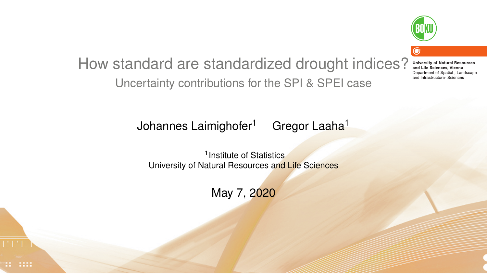

#### How standard are standardized drought indices? **University of Natural Resources** and Life Sciences. Vienna Denartment of Snatial- Landscapeand Infrastructure- Sciences Uncertainty contributions for the SPI & SPEI case

Johannes Laimighofer<sup>1</sup> Gregor Laaha<sup>1</sup>

<sup>1</sup> Institute of Statistics University of Natural Resources and Life Sciences

May 7, 2020

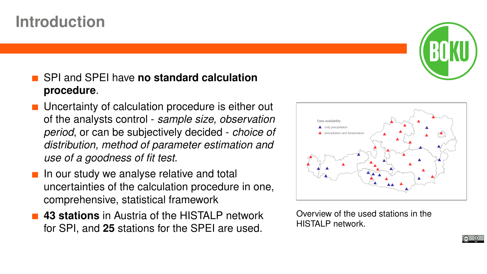## **Introduction**



- **Uncertainty of calculation procedure is either out** of the analysts control - *sample size, observation period*, or can be subjectively decided - *choice of distribution, method of parameter estimation and use of a goodness of fit test*.
- $\blacksquare$  In our study we analyse relative and total uncertainties of the calculation procedure in one, comprehensive, statistical framework
- **43 stations** in Austria of the HISTALP network for SPI, and **25** stations for the SPEI are used.



Overview of the used stations in the HISTALP network.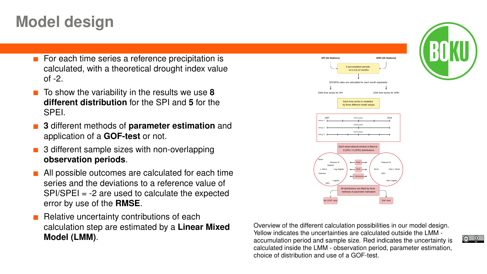## **Model design**

- For each time series a reference precipitation is calculated, with a theoretical drought index value  $of -2$ .
- To show the variability in the results we use **8 different distribution** for the SPI and **5** for the SPEI.
- **3** different methods of **parameter estimation** and application of a **GOF-test** or not.
- 3 different sample sizes with non-overlapping **observation periods**.
- **All possible outcomes are calculated for each time** series and the deviations to a reference value of SPI/SPEI = -2 are used to calculate the expected error by use of the **RMSE**.
- Relative uncertainty contributions of each calculation step are estimated by a **Linear Mixed Model (LMM)**.



Overview of the different calculation possibilities in our model design. Yellow indicates the uncertainties are calculated outside the LMM accumulation period and sample size. Red indicates the uncertainty is calculated inside the LMM - observation period, parameter estimation, choice of distribution and use of a GOF-test.



 $\circledcirc$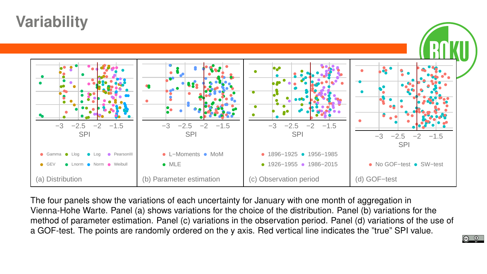## **Variability**



The four panels show the variations of each uncertainty for January with one month of aggregation in Vienna-Hohe Warte. Panel (a) shows variations for the choice of the distribution. Panel (b) variations for the method of parameter estimation. Panel (c) variations in the observation period. Panel (d) variations of the use of a GOF-test. The points are randomly ordered on the y axis. Red vertical line indicates the "true" SPI value.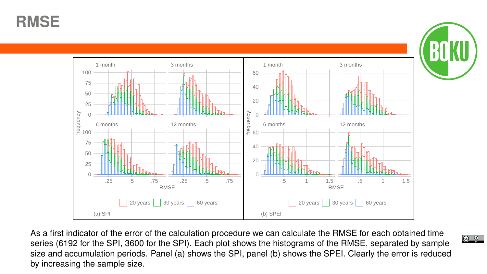**RMSE**



As a first indicator of the error of the calculation procedure we can calculate the RMSE for each obtained time series (6192 for the SPI, 3600 for the SPI). Each plot shows the histograms of the RMSE, separated by sample size and accumulation periods. Panel (a) shows the SPI, panel (b) shows the SPEI. Clearly the error is reduced by increasing the sample size.

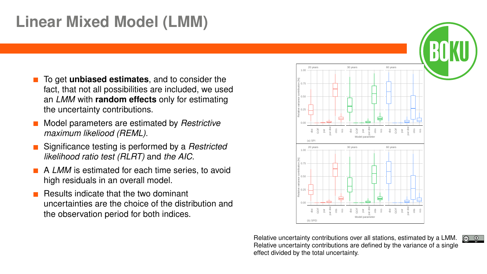# **Linear Mixed Model (LMM)**

- **The Get unbiased estimates**, and to consider the fact, that not all possibilities are included, we used an *LMM* with **random effects** only for estimating the uncertainty contributions.
- $\mathbf{r}$ Model parameters are estimated by *Restrictive maximum likeliood (REML)*.
- Significance testing is performed by a *Restricted likelihood ratio test (RLRT)* and *the AIC*.
- A *LMM* is estimated for each time series, to avoid high residuals in an overall model.
- Results indicate that the two dominant uncertainties are the choice of the distribution and the observation period for both indices.



Relative uncertainty contributions over all stations, estimated by a LMM.  $\boxed{\odot}$  0 Relative uncertainty contributions are defined by the variance of a single effect divided by the total uncertainty.